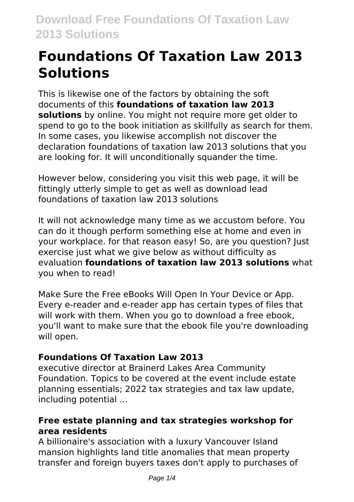# **Foundations Of Taxation Law 2013 Solutions**

This is likewise one of the factors by obtaining the soft documents of this **foundations of taxation law 2013 solutions** by online. You might not require more get older to spend to go to the book initiation as skillfully as search for them. In some cases, you likewise accomplish not discover the declaration foundations of taxation law 2013 solutions that you are looking for. It will unconditionally squander the time.

However below, considering you visit this web page, it will be fittingly utterly simple to get as well as download lead foundations of taxation law 2013 solutions

It will not acknowledge many time as we accustom before. You can do it though perform something else at home and even in your workplace. for that reason easy! So, are you question? Just exercise just what we give below as without difficulty as evaluation **foundations of taxation law 2013 solutions** what you when to read!

Make Sure the Free eBooks Will Open In Your Device or App. Every e-reader and e-reader app has certain types of files that will work with them. When you go to download a free ebook, you'll want to make sure that the ebook file you're downloading will open.

# **Foundations Of Taxation Law 2013**

executive director at Brainerd Lakes Area Community Foundation. Topics to be covered at the event include estate planning essentials; 2022 tax strategies and tax law update, including potential ...

# **Free estate planning and tax strategies workshop for area residents**

A billionaire's association with a luxury Vancouver Island mansion highlights land title anomalies that mean property transfer and foreign buyers taxes don't apply to purchases of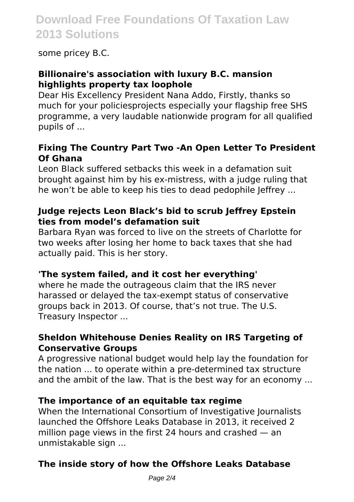# **Download Free Foundations Of Taxation Law 2013 Solutions**

some pricey B.C.

# **Billionaire's association with luxury B.C. mansion highlights property tax loophole**

Dear His Excellency President Nana Addo, Firstly, thanks so much for your policiesprojects especially your flagship free SHS programme, a very laudable nationwide program for all qualified pupils of ...

#### **Fixing The Country Part Two -An Open Letter To President Of Ghana**

Leon Black suffered setbacks this week in a defamation suit brought against him by his ex-mistress, with a judge ruling that he won't be able to keep his ties to dead pedophile leffrey ...

#### **Judge rejects Leon Black's bid to scrub Jeffrey Epstein ties from model's defamation suit**

Barbara Ryan was forced to live on the streets of Charlotte for two weeks after losing her home to back taxes that she had actually paid. This is her story.

## **'The system failed, and it cost her everything'**

where he made the outrageous claim that the IRS never harassed or delayed the tax-exempt status of conservative groups back in 2013. Of course, that's not true. The U.S. Treasury Inspector ...

## **Sheldon Whitehouse Denies Reality on IRS Targeting of Conservative Groups**

A progressive national budget would help lay the foundation for the nation ... to operate within a pre-determined tax structure and the ambit of the law. That is the best way for an economy ...

## **The importance of an equitable tax regime**

When the International Consortium of Investigative Journalists launched the Offshore Leaks Database in 2013, it received 2 million page views in the first 24 hours and crashed — an unmistakable sign ...

# **The inside story of how the Offshore Leaks Database**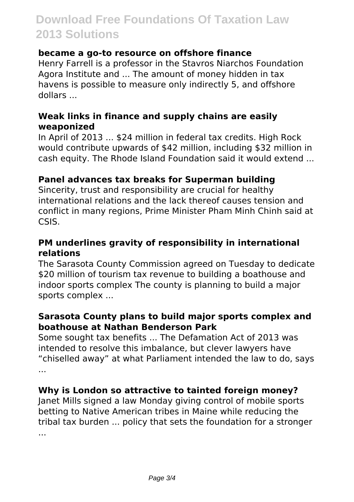# **Download Free Foundations Of Taxation Law 2013 Solutions**

#### **became a go-to resource on offshore finance**

Henry Farrell is a professor in the Stavros Niarchos Foundation Agora Institute and ... The amount of money hidden in tax havens is possible to measure only indirectly 5, and offshore dollars ...

#### **Weak links in finance and supply chains are easily weaponized**

In April of 2013 ... \$24 million in federal tax credits. High Rock would contribute upwards of \$42 million, including \$32 million in cash equity. The Rhode Island Foundation said it would extend ...

#### **Panel advances tax breaks for Superman building**

Sincerity, trust and responsibility are crucial for healthy international relations and the lack thereof causes tension and conflict in many regions, Prime Minister Pham Minh Chinh said at CSIS.

#### **PM underlines gravity of responsibility in international relations**

The Sarasota County Commission agreed on Tuesday to dedicate \$20 million of tourism tax revenue to building a boathouse and indoor sports complex The county is planning to build a major sports complex ...

#### **Sarasota County plans to build major sports complex and boathouse at Nathan Benderson Park**

Some sought tax benefits ... The Defamation Act of 2013 was intended to resolve this imbalance, but clever lawyers have "chiselled away" at what Parliament intended the law to do, says ...

## **Why is London so attractive to tainted foreign money?**

Janet Mills signed a law Monday giving control of mobile sports betting to Native American tribes in Maine while reducing the tribal tax burden ... policy that sets the foundation for a stronger ...